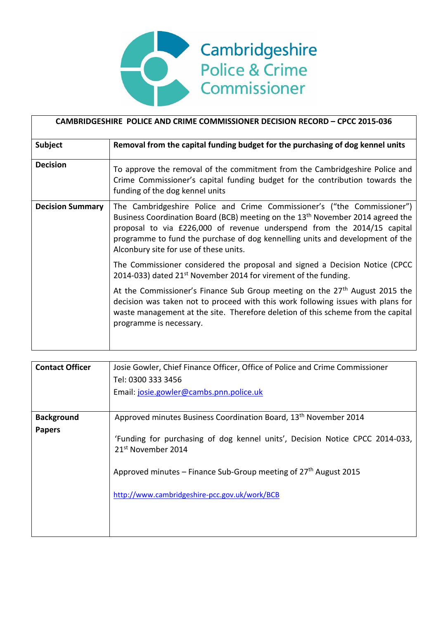

| CAMBRIDGESHIRE POLICE AND CRIME COMMISSIONER DECISION RECORD - CPCC 2015-036 |                                                                                                                                                                                                                                                                                                                                                                             |  |  |
|------------------------------------------------------------------------------|-----------------------------------------------------------------------------------------------------------------------------------------------------------------------------------------------------------------------------------------------------------------------------------------------------------------------------------------------------------------------------|--|--|
| <b>Subject</b>                                                               | Removal from the capital funding budget for the purchasing of dog kennel units                                                                                                                                                                                                                                                                                              |  |  |
| <b>Decision</b>                                                              | To approve the removal of the commitment from the Cambridgeshire Police and<br>Crime Commissioner's capital funding budget for the contribution towards the<br>funding of the dog kennel units                                                                                                                                                                              |  |  |
| <b>Decision Summary</b>                                                      | The Cambridgeshire Police and Crime Commissioner's ("the Commissioner")<br>Business Coordination Board (BCB) meeting on the 13 <sup>th</sup> November 2014 agreed the<br>proposal to via £226,000 of revenue underspend from the 2014/15 capital<br>programme to fund the purchase of dog kennelling units and development of the<br>Alconbury site for use of these units. |  |  |
|                                                                              | The Commissioner considered the proposal and signed a Decision Notice (CPCC<br>2014-033) dated 21 <sup>st</sup> November 2014 for virement of the funding.                                                                                                                                                                                                                  |  |  |
|                                                                              | At the Commissioner's Finance Sub Group meeting on the 27 <sup>th</sup> August 2015 the<br>decision was taken not to proceed with this work following issues with plans for<br>waste management at the site. Therefore deletion of this scheme from the capital<br>programme is necessary.                                                                                  |  |  |

| <b>Contact Officer</b> | Josie Gowler, Chief Finance Officer, Office of Police and Crime Commissioner<br>Tel: 0300 333 3456<br>Email: josie.gowler@cambs.pnn.police.uk                                                                                         |  |
|------------------------|---------------------------------------------------------------------------------------------------------------------------------------------------------------------------------------------------------------------------------------|--|
| <b>Background</b>      | Approved minutes Business Coordination Board, 13 <sup>th</sup> November 2014                                                                                                                                                          |  |
| <b>Papers</b>          | 'Funding for purchasing of dog kennel units', Decision Notice CPCC 2014-033,<br>21 <sup>st</sup> November 2014<br>Approved minutes – Finance Sub-Group meeting of $27th$ August 2015<br>http://www.cambridgeshire-pcc.gov.uk/work/BCB |  |